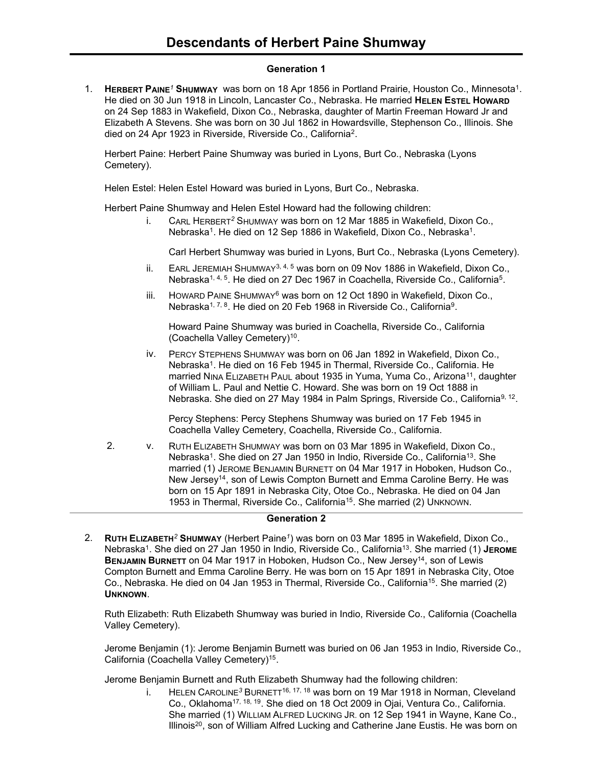### **Generation 1**

1. **HERBERT PAINE***<sup>1</sup>* **SHUMWAY** was born on 18 Apr 1856 in Portland Prairie, Houston Co., Minnesota<sup>1</sup> . He died on 30 Jun 1918 in Lincoln, Lancaster Co., Nebraska. He married **HELEN ESTEL HOWARD** on 24 Sep 1883 in Wakefield, Dixon Co., Nebraska, daughter of Martin Freeman Howard Jr and Elizabeth A Stevens. She was born on 30 Jul 1862 in Howardsville, Stephenson Co., Illinois. She died on 24 Apr 1923 in Riverside, Riverside Co., California<sup>2</sup>.

Herbert Paine: Herbert Paine Shumway was buried in Lyons, Burt Co., Nebraska (Lyons Cemetery).

Helen Estel: Helen Estel Howard was buried in Lyons, Burt Co., Nebraska.

Herbert Paine Shumway and Helen Estel Howard had the following children:

i. CARL HERBERT*<sup>2</sup>* SHUMWAY was born on 12 Mar 1885 in Wakefield, Dixon Co., Nebraska<sup>1</sup>. He died on 12 Sep 1886 in Wakefield, Dixon Co., Nebraska<sup>1</sup>.

Carl Herbert Shumway was buried in Lyons, Burt Co., Nebraska (Lyons Cemetery).

- ii. EARL JEREMIAH SHUMWAY<sup>3, 4, 5</sup> was born on 09 Nov 1886 in Wakefield, Dixon Co., Nebraska<sup>1, 4, 5</sup>. He died on 27 Dec 1967 in Coachella, Riverside Co., California<sup>5</sup>.
- iii. HOWARD PAINE SHUMWAY<sup>6</sup> was born on 12 Oct 1890 in Wakefield, Dixon Co., Nebraska<sup>1, 7, 8</sup>. He died on 20 Feb 1968 in Riverside Co., California<sup>9</sup>.

Howard Paine Shumway was buried in Coachella, Riverside Co., California (Coachella Valley Cemetery)<sup>10</sup>.

iv. PERCY STEPHENS SHUMWAY was born on 06 Jan 1892 in Wakefield, Dixon Co., Nebraska<sup>1</sup>. He died on 16 Feb 1945 in Thermal, Riverside Co., California. He married NINA ELIZABETH PAUL about 1935 in Yuma, Yuma Co., Arizona<sup>11</sup>, daughter of William L. Paul and Nettie C. Howard. She was born on 19 Oct 1888 in Nebraska. She died on 27 May 1984 in Palm Springs, Riverside Co., California<sup>9, 12</sup>.

Percy Stephens: Percy Stephens Shumway was buried on 17 Feb 1945 in Coachella Valley Cemetery, Coachella, Riverside Co., California.

2. v. RUTH ELIZABETH SHUMWAY was born on 03 Mar 1895 in Wakefield, Dixon Co., Nebraska<sup>1</sup>. She died on 27 Jan 1950 in Indio, Riverside Co., California<sup>13</sup>. She married (1) JEROME BENJAMIN BURNETT on 04 Mar 1917 in Hoboken, Hudson Co., New Jersey<sup>14</sup>, son of Lewis Compton Burnett and Emma Caroline Berry. He was born on 15 Apr 1891 in Nebraska City, Otoe Co., Nebraska. He died on 04 Jan 1953 in Thermal, Riverside Co., California<sup>15</sup>. She married (2) UNKNOWN.

### **Generation 2**

2. **RUTH ELIZABETH***<sup>2</sup>* **SHUMWAY** (Herbert Paine*<sup>1</sup>* ) was born on 03 Mar 1895 in Wakefield, Dixon Co., Nebraska<sup>1</sup> . She died on 27 Jan 1950 in Indio, Riverside Co., California<sup>13</sup> . She married (1) **JEROME** BENJAMIN BURNETT on 04 Mar 1917 in Hoboken, Hudson Co., New Jersey<sup>14</sup>, son of Lewis Compton Burnett and Emma Caroline Berry. He was born on 15 Apr 1891 in Nebraska City, Otoe Co., Nebraska. He died on 04 Jan 1953 in Thermal, Riverside Co., California<sup>15</sup>. She married (2) **UNKNOWN**.

Ruth Elizabeth: Ruth Elizabeth Shumway was buried in Indio, Riverside Co., California (Coachella Valley Cemetery).

Jerome Benjamin (1): Jerome Benjamin Burnett was buried on 06 Jan 1953 in Indio, Riverside Co., California (Coachella Valley Cemetery)<sup>15</sup>.

Jerome Benjamin Burnett and Ruth Elizabeth Shumway had the following children:

i. HELEN CAROLINE*<sup>3</sup>* BURNETT16, 17, <sup>18</sup> was born on 19 Mar 1918 in Norman, Cleveland Co., Oklahoma<sup>17, 18, 19</sup>. She died on 18 Oct 2009 in Ojai, Ventura Co., California. She married (1) WILLIAM ALFRED LUCKING JR. on 12 Sep 1941 in Wayne, Kane Co., Illinois<sup>20</sup>, son of William Alfred Lucking and Catherine Jane Eustis. He was born on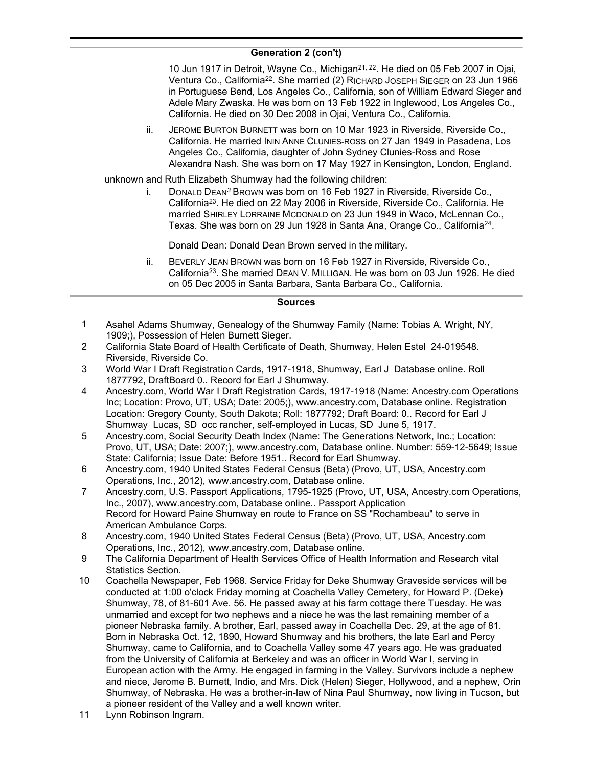# **Generation 2 (con't)**

10 Jun 1917 in Detroit, Wayne Co., Michigan<sup>21, 22</sup>. He died on 05 Feb 2007 in Ojai, Ventura Co., California<sup>22</sup>. She married (2) RICHARD JOSEPH SIEGER on 23 Jun 1966 in Portuguese Bend, Los Angeles Co., California, son of William Edward Sieger and Adele Mary Zwaska. He was born on 13 Feb 1922 in Inglewood, Los Angeles Co., California. He died on 30 Dec 2008 in Ojai, Ventura Co., California.

ii. JEROME BURTON BURNETT was born on 10 Mar 1923 in Riverside, Riverside Co., California. He married ININ ANNE CLUNIES-ROSS on 27 Jan 1949 in Pasadena, Los Angeles Co., California, daughter of John Sydney Clunies-Ross and Rose Alexandra Nash. She was born on 17 May 1927 in Kensington, London, England.

unknown and Ruth Elizabeth Shumway had the following children:

i. DONALD DEAN*<sup>3</sup>* BROWN was born on 16 Feb 1927 in Riverside, Riverside Co., California<sup>23</sup>. He died on 22 May 2006 in Riverside, Riverside Co., California. He married SHIRLEY LORRAINE MCDONALD on 23 Jun 1949 in Waco, McLennan Co., Texas. She was born on 29 Jun 1928 in Santa Ana, Orange Co., California<sup>24</sup>.

Donald Dean: Donald Dean Brown served in the military.

ii. BEVERLY JEAN BROWN was born on 16 Feb 1927 in Riverside, Riverside Co., California<sup>23</sup>. She married DEAN V. MILLIGAN. He was born on 03 Jun 1926. He died on 05 Dec 2005 in Santa Barbara, Santa Barbara Co., California.

## **Sources**

- Asahel Adams Shumway, Genealogy of the Shumway Family (Name: Tobias A. Wright, NY, 1909;), Possession of Helen Burnett Sieger. 1
- California State Board of Health Certificate of Death, Shumway, Helen Estel 24-019548. Riverside, Riverside Co. 2
- World War I Draft Registration Cards, 1917-1918, Shumway, Earl J Database online. Roll 1877792, DraftBoard 0.. Record for Earl J Shumway. 3
- Ancestry.com, World War I Draft Registration Cards, 1917-1918 (Name: Ancestry.com Operations Inc; Location: Provo, UT, USA; Date: 2005;), www.ancestry.com, Database online. Registration Location: Gregory County, South Dakota; Roll: 1877792; Draft Board: 0.. Record for Earl J Shumway Lucas, SD occ rancher, self-employed in Lucas, SD June 5, 1917. 4
- Ancestry.com, Social Security Death Index (Name: The Generations Network, Inc.; Location: Provo, UT, USA; Date: 2007;), www.ancestry.com, Database online. Number: 559-12-5649; Issue State: California; Issue Date: Before 1951.. Record for Earl Shumway. 5
- Ancestry.com, 1940 United States Federal Census (Beta) (Provo, UT, USA, Ancestry.com Operations, Inc., 2012), www.ancestry.com, Database online. 6
- Ancestry.com, U.S. Passport Applications, 1795-1925 (Provo, UT, USA, Ancestry.com Operations, Inc., 2007), www.ancestry.com, Database online.. Passport Application Record for Howard Paine Shumway en route to France on SS "Rochambeau" to serve in American Ambulance Corps. 7
- Ancestry.com, 1940 United States Federal Census (Beta) (Provo, UT, USA, Ancestry.com Operations, Inc., 2012), www.ancestry.com, Database online. 8
- The California Department of Health Services Office of Health Information and Research vital Statistics Section. 9
- Coachella Newspaper, Feb 1968. Service Friday for Deke Shumway Graveside services will be conducted at 1:00 o'clock Friday morning at Coachella Valley Cemetery, for Howard P. (Deke) Shumway, 78, of 81-601 Ave. 56. He passed away at his farm cottage there Tuesday. He was unmarried and except for two nephews and a niece he was the last remaining member of a pioneer Nebraska family. A brother, Earl, passed away in Coachella Dec. 29, at the age of 81. Born in Nebraska Oct. 12, 1890, Howard Shumway and his brothers, the late Earl and Percy Shumway, came to California, and to Coachella Valley some 47 years ago. He was graduated from the University of California at Berkeley and was an officer in World War I, serving in European action with the Army. He engaged in farming in the Valley. Survivors include a nephew and niece, Jerome B. Burnett, Indio, and Mrs. Dick (Helen) Sieger, Hollywood, and a nephew, Orin Shumway, of Nebraska. He was a brother-in-law of Nina Paul Shumway, now living in Tucson, but a pioneer resident of the Valley and a well known writer. 10
- 11 Lynn Robinson Ingram.